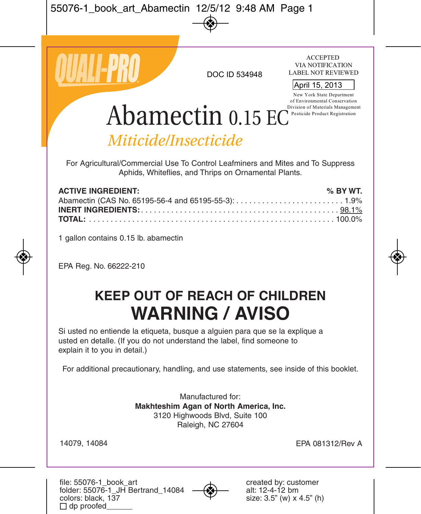

DOC ID 534948 LABEL NOT REVIL<br>April 15, 2013

**ACCEPTED** VIA NOTIFICATION LABEL NOT REVIEWED

New York State Department of Environmental Conservation Division of Materials Management Pesticide Product Registration

# Abamectin 0.15 EC

# *Miticide/Insecticide*

For Agricultural/Commercial Use To Control Leafminers and Mites and To Suppress Aphids, Whiteflies, and Thrips on Ornamental Plants.

| <b>ACTIVE INGREDIENT:</b> | % BY WT. |
|---------------------------|----------|
|                           |          |
|                           |          |
|                           |          |

1 gallon contains 0.15 lb. abamectin

EPA Reg. No. 66222-210

# **KEEP OUT OF REACH OF CHILDREN WARNING / AVISO**

Si usted no entiende la etiqueta, busque a alguien para que se la explique a usted en detalle. (If you do not understand the label, find someone to explain it to you in detail.)

For additional precautionary, handling, and use statements, see inside of this booklet.

Manufactured for: **Makhteshim Agan of North America, Inc.**  3120 Highwoods Blvd, Suite 100 Raleigh, NC 27604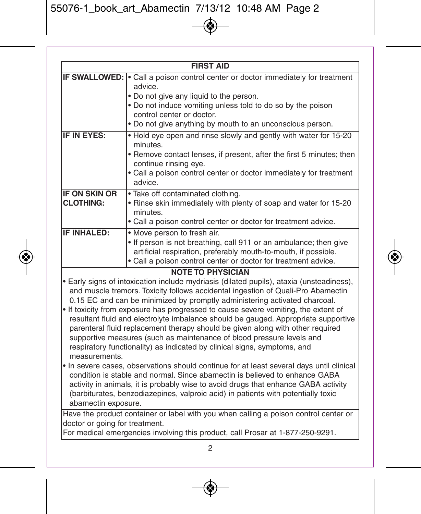| <b>FIRST AID</b>                                                                                                                                        |                                                                                             |  |  |  |
|---------------------------------------------------------------------------------------------------------------------------------------------------------|---------------------------------------------------------------------------------------------|--|--|--|
|                                                                                                                                                         | <b>IF SWALLOWED:</b> • Call a poison control center or doctor immediately for treatment     |  |  |  |
|                                                                                                                                                         | advice.                                                                                     |  |  |  |
|                                                                                                                                                         | . Do not give any liquid to the person.                                                     |  |  |  |
|                                                                                                                                                         | . Do not induce vomiting unless told to do so by the poison                                 |  |  |  |
|                                                                                                                                                         | control center or doctor.                                                                   |  |  |  |
|                                                                                                                                                         | . Do not give anything by mouth to an unconscious person.                                   |  |  |  |
| IF IN EYES:                                                                                                                                             | . Hold eye open and rinse slowly and gently with water for 15-20                            |  |  |  |
|                                                                                                                                                         | minutes.                                                                                    |  |  |  |
|                                                                                                                                                         | • Remove contact lenses, if present, after the first 5 minutes; then                        |  |  |  |
|                                                                                                                                                         | continue rinsing eye.<br>. Call a poison control center or doctor immediately for treatment |  |  |  |
|                                                                                                                                                         | advice.                                                                                     |  |  |  |
| <b>IF ON SKIN OR</b>                                                                                                                                    | . Take off contaminated clothing.                                                           |  |  |  |
| <b>CLOTHING:</b>                                                                                                                                        | . Rinse skin immediately with plenty of soap and water for 15-20                            |  |  |  |
|                                                                                                                                                         | minutes.                                                                                    |  |  |  |
|                                                                                                                                                         | . Call a poison control center or doctor for treatment advice.                              |  |  |  |
| IF INHALED:                                                                                                                                             | . Move person to fresh air.                                                                 |  |  |  |
|                                                                                                                                                         | . If person is not breathing, call 911 or an ambulance; then give                           |  |  |  |
|                                                                                                                                                         | artificial respiration, preferably mouth-to-mouth, if possible.                             |  |  |  |
|                                                                                                                                                         | • Call a poison control center or doctor for treatment advice.                              |  |  |  |
| <b>NOTE TO PHYSICIAN</b>                                                                                                                                |                                                                                             |  |  |  |
|                                                                                                                                                         | • Early signs of intoxication include mydriasis (dilated pupils), ataxia (unsteadiness),    |  |  |  |
|                                                                                                                                                         | and muscle tremors. Toxicity follows accidental ingestion of Quali-Pro Abamectin            |  |  |  |
| 0.15 EC and can be minimized by promptly administering activated charcoal.                                                                              |                                                                                             |  |  |  |
| • If toxicity from exposure has progressed to cause severe vomiting, the extent of                                                                      |                                                                                             |  |  |  |
| resultant fluid and electrolyte imbalance should be gauged. Appropriate supportive                                                                      |                                                                                             |  |  |  |
| parenteral fluid replacement therapy should be given along with other required<br>supportive measures (such as maintenance of blood pressure levels and |                                                                                             |  |  |  |
| respiratory functionality) as indicated by clinical signs, symptoms, and                                                                                |                                                                                             |  |  |  |
| measurements.                                                                                                                                           |                                                                                             |  |  |  |
| • In severe cases, observations should continue for at least several days until clinical                                                                |                                                                                             |  |  |  |
| condition is stable and normal. Since abamectin is believed to enhance GABA                                                                             |                                                                                             |  |  |  |
| activity in animals, it is probably wise to avoid drugs that enhance GABA activity                                                                      |                                                                                             |  |  |  |

activity in animals, it is probably wise to avoid drugs that enhance GABA activity (barbiturates, benzodiazepines, valproic acid) in patients with potentially toxic abamectin exposure.

Have the product container or label with you when calling a poison control center or doctor or going for treatment.

For medical emergencies involving this product, call Prosar at 1-877-250-9291.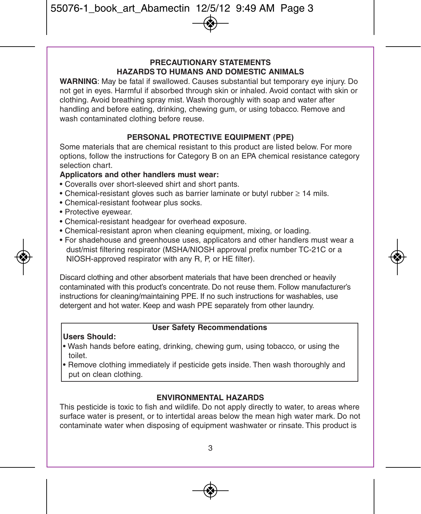#### **PRECAUTIONARY STATEMENTS HAZARDS TO HUMANS AND DOMESTIC ANIMALS**

**WARNING**: May be fatal if swallowed. Causes substantial but temporary eye injury. Do not get in eyes. Harmful if absorbed through skin or inhaled. Avoid contact with skin or clothing. Avoid breathing spray mist. Wash thoroughly with soap and water after handling and before eating, drinking, chewing gum, or using tobacco. Remove and wash contaminated clothing before reuse.

#### **PERSONAL PROTECTIVE EQUIPMENT (PPE)**

Some materials that are chemical resistant to this product are listed below. For more options, follow the instructions for Category B on an EPA chemical resistance category selection chart.

#### **Applicators and other handlers must wear:**

- Coveralls over short-sleeved shirt and short pants.
- Chemical-resistant gloves such as barrier laminate or butyl rubber ≥ 14 mils.
- Chemical-resistant footwear plus socks.
- Protective eyewear.
- Chemical-resistant headgear for overhead exposure.
- Chemical-resistant apron when cleaning equipment, mixing, or loading.
- For shadehouse and greenhouse uses, applicators and other handlers must wear a dust/mist filtering respirator (MSHA/NIOSH approval prefix number TC-21C or a NIOSH-approved respirator with any R, P, or HE filter).

Discard clothing and other absorbent materials that have been drenched or heavily contaminated with this product's concentrate. Do not reuse them. Follow manufacturer's instructions for cleaning/maintaining PPE. If no such instructions for washables, use detergent and hot water. Keep and wash PPE separately from other laundry.

#### **User Safety Recommendations**

#### **Users Should:**

- Wash hands before eating, drinking, chewing gum, using tobacco, or using the toilet.
- Remove clothing immediately if pesticide gets inside. Then wash thoroughly and put on clean clothing.

#### **ENVIRONMENTAL HAZARDS**

This pesticide is toxic to fish and wildlife. Do not apply directly to water, to areas where surface water is present, or to intertidal areas below the mean high water mark. Do not contaminate water when disposing of equipment washwater or rinsate. This product is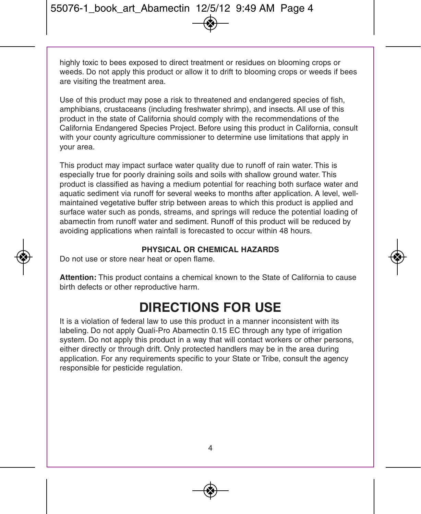highly toxic to bees exposed to direct treatment or residues on blooming crops or weeds. Do not apply this product or allow it to drift to blooming crops or weeds if bees are visiting the treatment area.

Use of this product may pose a risk to threatened and endangered species of fish, amphibians, crustaceans (including freshwater shrimp), and insects. All use of this product in the state of California should comply with the recommendations of the California Endangered Species Project. Before using this product in California, consult with your county agriculture commissioner to determine use limitations that apply in your area.

This product may impact surface water quality due to runoff of rain water. This is especially true for poorly draining soils and soils with shallow ground water. This product is classified as having a medium potential for reaching both surface water and aquatic sediment via runoff for several weeks to months after application. A level, wellmaintained vegetative buffer strip between areas to which this product is applied and surface water such as ponds, streams, and springs will reduce the potential loading of abamectin from runoff water and sediment. Runoff of this product will be reduced by avoiding applications when rainfall is forecasted to occur within 48 hours.

#### **PHYSICAL OR CHEMICAL HAZARDS**

Do not use or store near heat or open flame.

**Attention:** This product contains a chemical known to the State of California to cause birth defects or other reproductive harm.

### **DIRECTIONS FOR USE**

It is a violation of federal law to use this product in a manner inconsistent with its labeling. Do not apply Quali-Pro Abamectin 0.15 EC through any type of irrigation system. Do not apply this product in a way that will contact workers or other persons, either directly or through drift. Only protected handlers may be in the area during application. For any requirements specific to your State or Tribe, consult the agency responsible for pesticide regulation.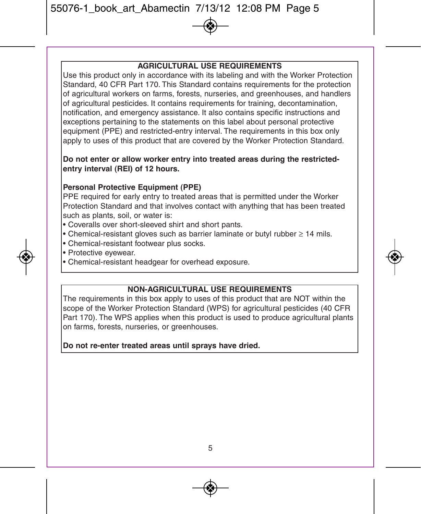#### **AGRICULTURAL USE REQUIREMENTS**

Use this product only in accordance with its labeling and with the Worker Protection Standard, 40 CFR Part 170. This Standard contains requirements for the protection of agricultural workers on farms, forests, nurseries, and greenhouses, and handlers of agricultural pesticides. It contains requirements for training, decontamination, notification, and emergency assistance. It also contains specific instructions and exceptions pertaining to the statements on this label about personal protective equipment (PPE) and restricted-entry interval. The requirements in this box only apply to uses of this product that are covered by the Worker Protection Standard.

#### **Do not enter or allow worker entry into treated areas during the restrictedentry interval (REI) of 12 hours.**

#### **Personal Protective Equipment (PPE)**

PPE required for early entry to treated areas that is permitted under the Worker Protection Standard and that involves contact with anything that has been treated such as plants, soil, or water is:

- Coveralls over short-sleeved shirt and short pants.
- Chemical-resistant gloves such as barrier laminate or butyl rubber ≥ 14 mils.
- Chemical-resistant footwear plus socks.
- Protective eyewear.
- Chemical-resistant headgear for overhead exposure.

#### **NON-AGRICULTURAL USE REQUIREMENTS**

The requirements in this box apply to uses of this product that are NOT within the scope of the Worker Protection Standard (WPS) for agricultural pesticides (40 CFR Part 170). The WPS applies when this product is used to produce agricultural plants on farms, forests, nurseries, or greenhouses.

#### **Do not re-enter treated areas until sprays have dried.**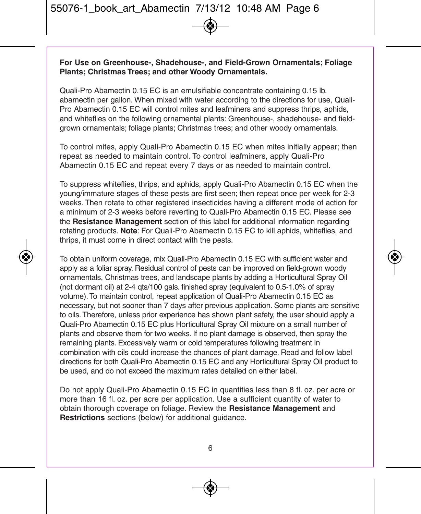#### **For Use on Greenhouse-, Shadehouse-, and Field-Grown Ornamentals; Foliage Plants; Christmas Trees; and other Woody Ornamentals.**

Quali-Pro Abamectin 0.15 EC is an emulsifiable concentrate containing 0.15 lb. abamectin per gallon. When mixed with water according to the directions for use, Quali-Pro Abamectin 0.15 EC will control mites and leafminers and suppress thrips, aphids, and whiteflies on the following ornamental plants: Greenhouse-, shadehouse- and fieldgrown ornamentals; foliage plants; Christmas trees; and other woody ornamentals.

To control mites, apply Quali-Pro Abamectin 0.15 EC when mites initially appear; then repeat as needed to maintain control. To control leafminers, apply Quali-Pro Abamectin 0.15 EC and repeat every 7 days or as needed to maintain control.

To suppress whiteflies, thrips, and aphids, apply Quali-Pro Abamectin 0.15 EC when the young/immature stages of these pests are first seen; then repeat once per week for 2-3 weeks. Then rotate to other registered insecticides having a different mode of action for a minimum of 2-3 weeks before reverting to Quali-Pro Abamectin 0.15 EC. Please see the **Resistance Management** section of this label for additional information regarding rotating products. **Note**: For Quali-Pro Abamectin 0.15 EC to kill aphids, whiteflies, and thrips, it must come in direct contact with the pests.

To obtain uniform coverage, mix Quali-Pro Abamectin 0.15 EC with sufficient water and apply as a foliar spray. Residual control of pests can be improved on field-grown woody ornamentals, Christmas trees, and landscape plants by adding a Horticultural Spray Oil (not dormant oil) at 2-4 qts/100 gals. finished spray (equivalent to 0.5-1.0% of spray volume). To maintain control, repeat application of Quali-Pro Abamectin 0.15 EC as necessary, but not sooner than 7 days after previous application. Some plants are sensitive to oils. Therefore, unless prior experience has shown plant safety, the user should apply a Quali-Pro Abamectin 0.15 EC plus Horticultural Spray Oil mixture on a small number of plants and observe them for two weeks. If no plant damage is observed, then spray the remaining plants. Excessively warm or cold temperatures following treatment in combination with oils could increase the chances of plant damage. Read and follow label directions for both Quali-Pro Abamectin 0.15 EC and any Horticultural Spray Oil product to be used, and do not exceed the maximum rates detailed on either label.

Do not apply Quali-Pro Abamectin 0.15 EC in quantities less than 8 fl. oz. per acre or more than 16 fl. oz. per acre per application. Use a sufficient quantity of water to obtain thorough coverage on foliage. Review the **Resistance Management** and **Restrictions** sections (below) for additional guidance.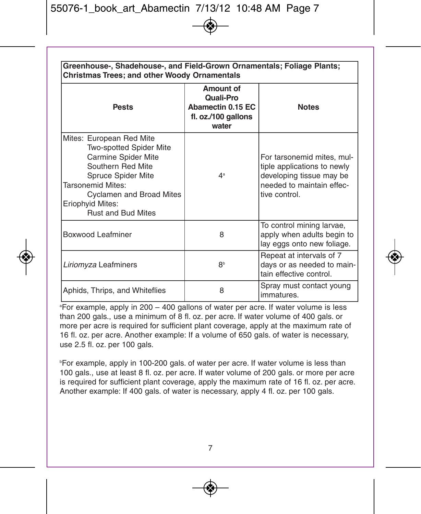| Greenhouse-, Shadehouse-, and Field-Grown Ornamentals; Foliage Plants;<br>Christmas Trees; and other Woody Ornamentals                                                                                                  |                                                                             |                                                                                                                                     |  |  |
|-------------------------------------------------------------------------------------------------------------------------------------------------------------------------------------------------------------------------|-----------------------------------------------------------------------------|-------------------------------------------------------------------------------------------------------------------------------------|--|--|
| <b>Pests</b>                                                                                                                                                                                                            | Amount of<br>Quali-Pro<br>Abamectin 0.15 EC<br>fl. oz./100 gallons<br>water | <b>Notes</b>                                                                                                                        |  |  |
| Mites: European Red Mite<br>Two-spotted Spider Mite<br>Carmine Spider Mite<br>Southern Red Mite<br>Spruce Spider Mite<br>Tarsonemid Mites:<br>Cyclamen and Broad Mites<br>Eriophyid Mites:<br><b>Rust and Bud Mites</b> | 4 <sup>a</sup>                                                              | For tarsonemid mites, mul-<br>tiple applications to newly<br>developing tissue may be<br>needed to maintain effec-<br>tive control. |  |  |
| Boxwood Leafminer                                                                                                                                                                                                       | 8                                                                           | To control mining larvae,<br>apply when adults begin to<br>lay eggs onto new foliage.                                               |  |  |
| Liriomyza Leafminers                                                                                                                                                                                                    | R <sub>b</sub>                                                              | Repeat at intervals of 7<br>days or as needed to main-<br>tain effective control.                                                   |  |  |
| Aphids, Thrips, and Whiteflies                                                                                                                                                                                          | 8                                                                           | Spray must contact young<br>immatures.                                                                                              |  |  |

a For example, apply in 200 – 400 gallons of water per acre. If water volume is less than 200 gals., use a minimum of 8 fl. oz. per acre. If water volume of 400 gals. or more per acre is required for sufficient plant coverage, apply at the maximum rate of 16 fl. oz. per acre. Another example: If a volume of 650 gals. of water is necessary, use 2.5 fl. oz. per 100 gals.

b For example, apply in 100-200 gals. of water per acre. If water volume is less than 100 gals., use at least 8 fl. oz. per acre. If water volume of 200 gals. or more per acre is required for sufficient plant coverage, apply the maximum rate of 16 fl. oz. per acre. Another example: If 400 gals, of water is necessary, apply 4 fl. oz. per 100 gals.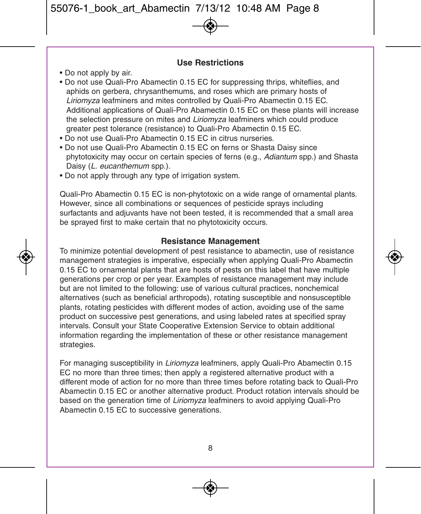#### **Use Restrictions**

- Do not apply by air.
- Do not use Quali-Pro Abamectin 0.15 EC for suppressing thrips, whiteflies, and aphids on gerbera, chrysanthemums, and roses which are primary hosts of Liriomyza leafminers and mites controlled by Quali-Pro Abamectin 0.15 EC. Additional applications of Quali-Pro Abamectin 0.15 EC on these plants will increase the selection pressure on mites and *Liriomyza* leafminers which could produce greater pest tolerance (resistance) to Quali-Pro Abamectin 0.15 EC.
- Do not use Quali-Pro Abamectin 0.15 EC in citrus nurseries.
- Do not use Quali-Pro Abamectin 0.15 EC on ferns or Shasta Daisy since phytotoxicity may occur on certain species of ferns (e.g., Adiantum spp.) and Shasta Daisy (L. eucanthemum spp.).
- Do not apply through any type of irrigation system.

Quali-Pro Abamectin 0.15 EC is non-phytotoxic on a wide range of ornamental plants. However, since all combinations or sequences of pesticide sprays including surfactants and adjuvants have not been tested, it is recommended that a small area be sprayed first to make certain that no phytotoxicity occurs.

#### **Resistance Management**

To minimize potential development of pest resistance to abamectin, use of resistance management strategies is imperative, especially when applying Quali-Pro Abamectin 0.15 EC to ornamental plants that are hosts of pests on this label that have multiple generations per crop or per year. Examples of resistance management may include but are not limited to the following: use of various cultural practices, nonchemical alternatives (such as beneficial arthropods), rotating susceptible and nonsusceptible plants, rotating pesticides with different modes of action, avoiding use of the same product on successive pest generations, and using labeled rates at specified spray intervals. Consult your State Cooperative Extension Service to obtain additional information regarding the implementation of these or other resistance management strategies.

For managing susceptibility in Liriomyza leafminers, apply Quali-Pro Abamectin 0.15 EC no more than three times; then apply a registered alternative product with a different mode of action for no more than three times before rotating back to Quali-Pro Abamectin 0.15 EC or another alternative product. Product rotation intervals should be based on the generation time of Liriomyza leafminers to avoid applying Quali-Pro Abamectin 0.15 EC to successive generations.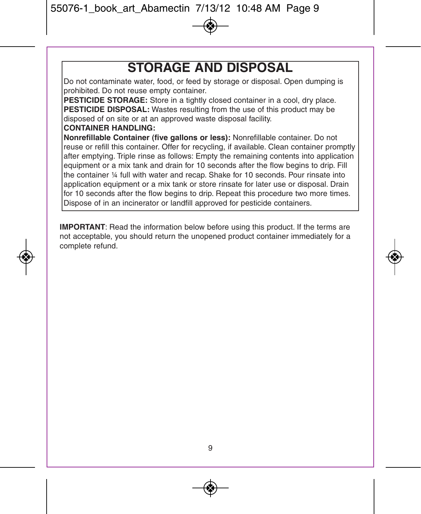### **STORAGE AND DISPOSAL**

Do not contaminate water, food, or feed by storage or disposal. Open dumping is prohibited. Do not reuse empty container.

**PESTICIDE STORAGE:** Store in a tightly closed container in a cool, dry place. **PESTICIDE DISPOSAL:** Wastes resulting from the use of this product may be disposed of on site or at an approved waste disposal facility.

#### **CONTAINER HANDLING:**

**Nonrefillable Container (five gallons or less):** Nonrefillable container. Do not reuse or refill this container. Offer for recycling, if available. Clean container promptly after emptying. Triple rinse as follows: Empty the remaining contents into application equipment or a mix tank and drain for 10 seconds after the flow begins to drip. Fill the container ¼ full with water and recap. Shake for 10 seconds. Pour rinsate into application equipment or a mix tank or store rinsate for later use or disposal. Drain for 10 seconds after the flow begins to drip. Repeat this procedure two more times. Dispose of in an incinerator or landfill approved for pesticide containers.

**IMPORTANT**: Read the information below before using this product. If the terms are not acceptable, you should return the unopened product container immediately for a complete refund.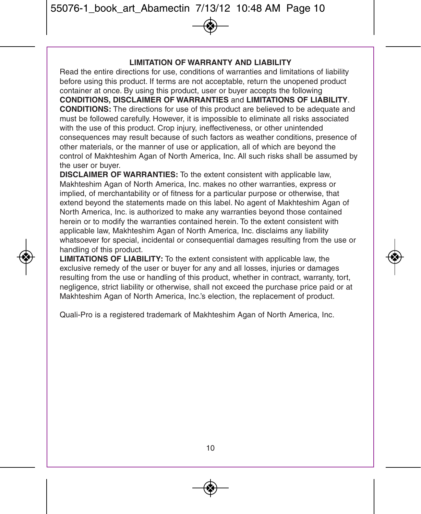#### **LIMITATION OF WARRANTY AND LIABILITY**

Read the entire directions for use, conditions of warranties and limitations of liability before using this product. If terms are not acceptable, return the unopened product container at once. By using this product, user or buyer accepts the following **CONDITIONS, DISCLAIMER OF WARRANTIES** and **LIMITATIONS OF LIABILITY**. **CONDITIONS:** The directions for use of this product are believed to be adequate and must be followed carefully. However, it is impossible to eliminate all risks associated with the use of this product. Crop injury, ineffectiveness, or other unintended consequences may result because of such factors as weather conditions, presence of other materials, or the manner of use or application, all of which are beyond the control of Makhteshim Agan of North America, Inc. All such risks shall be assumed by the user or buyer.

**DISCLAIMER OF WARRANTIES:** To the extent consistent with applicable law, Makhteshim Agan of North America, Inc. makes no other warranties, express or implied, of merchantability or of fitness for a particular purpose or otherwise, that extend beyond the statements made on this label. No agent of Makhteshim Agan of North America, Inc. is authorized to make any warranties beyond those contained herein or to modify the warranties contained herein. To the extent consistent with applicable law, Makhteshim Agan of North America, Inc. disclaims any liability whatsoever for special, incidental or consequential damages resulting from the use or handling of this product.

**LIMITATIONS OF LIABILITY:** To the extent consistent with applicable law, the exclusive remedy of the user or buyer for any and all losses, injuries or damages resulting from the use or handling of this product, whether in contract, warranty, tort, negligence, strict liability or otherwise, shall not exceed the purchase price paid or at Makhteshim Agan of North America, Inc.'s election, the replacement of product.

Quali-Pro is a registered trademark of Makhteshim Agan of North America, Inc.